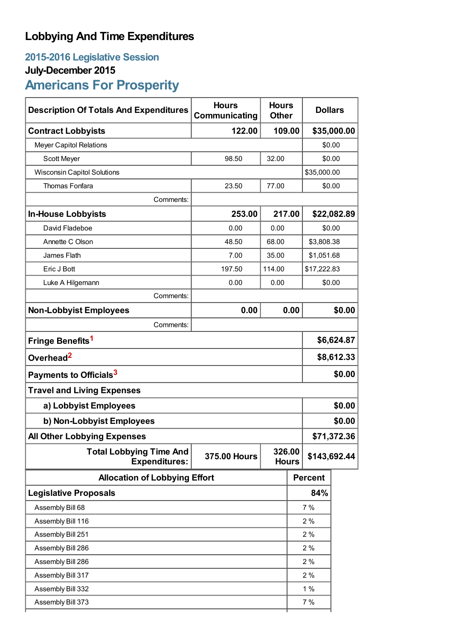## **Lobbying And Time Expenditures**

## **2015-2016 Legislative Session**

## **July-December 2015**

# **Americans For Prosperity**

| <b>Description Of Totals And Expenditures</b>          | <b>Hours</b><br>Communicating |                        | <b>Hours</b><br><b>Dollars</b><br><b>Other</b> |                |        |
|--------------------------------------------------------|-------------------------------|------------------------|------------------------------------------------|----------------|--------|
| <b>Contract Lobbyists</b>                              | 122.00                        | 109.00                 |                                                | \$35,000.00    |        |
| <b>Meyer Capitol Relations</b>                         |                               |                        |                                                | \$0.00         |        |
| Scott Meyer                                            | 98.50                         | 32.00                  |                                                | \$0.00         |        |
| <b>Wisconsin Capitol Solutions</b>                     |                               |                        |                                                | \$35,000.00    |        |
| Thomas Fonfara                                         | 23.50                         | 77.00                  | \$0.00                                         |                |        |
| Comments:                                              |                               |                        |                                                |                |        |
| <b>In-House Lobbyists</b>                              | 253.00                        | 217.00                 |                                                | \$22,082.89    |        |
| David Fladeboe                                         | 0.00                          | 0.00                   |                                                | \$0.00         |        |
| Annette C Olson                                        | 48.50                         | 68.00                  |                                                | \$3,808.38     |        |
| James Flath                                            | 7.00                          | 35.00                  |                                                | \$1,051.68     |        |
| Eric J Bott                                            | 197.50                        | 114.00                 |                                                | \$17,222.83    |        |
| Luke A Hilgemann                                       | 0.00                          | 0.00                   |                                                | \$0.00         |        |
| Comments:                                              |                               |                        |                                                |                |        |
| <b>Non-Lobbyist Employees</b>                          | 0.00                          |                        | 0.00                                           |                | \$0.00 |
| Comments:                                              |                               |                        |                                                |                |        |
| Fringe Benefits <sup>1</sup>                           |                               |                        |                                                | \$6,624.87     |        |
| Overhead <sup>2</sup>                                  |                               |                        |                                                | \$8,612.33     |        |
| Payments to Officials <sup>3</sup>                     |                               |                        |                                                | \$0.00         |        |
| <b>Travel and Living Expenses</b>                      |                               |                        |                                                |                |        |
| a) Lobbyist Employees                                  |                               |                        |                                                | \$0.00         |        |
| b) Non-Lobbyist Employees                              |                               |                        |                                                | \$0.00         |        |
| <b>All Other Lobbying Expenses</b>                     |                               |                        |                                                | \$71,372.36    |        |
| <b>Total Lobbying Time And</b><br><b>Expenditures:</b> | <b>375.00 Hours</b>           | 326.00<br><b>Hours</b> |                                                | \$143,692.44   |        |
| <b>Allocation of Lobbying Effort</b>                   |                               |                        |                                                | <b>Percent</b> |        |
| <b>Legislative Proposals</b>                           |                               |                        |                                                | 84%            |        |
| Assembly Bill 68                                       |                               |                        |                                                | 7%             |        |
| Assembly Bill 116                                      |                               |                        |                                                | 2%             |        |
| Assembly Bill 251                                      |                               |                        |                                                | 2%             |        |
| Assembly Bill 286                                      |                               |                        |                                                | 2%             |        |
| Assembly Bill 286                                      |                               |                        |                                                | 2%             |        |
| Assembly Bill 317                                      |                               |                        |                                                | 2%             |        |
| Assembly Bill 332                                      |                               |                        |                                                | 1%             |        |
| Assembly Bill 373                                      |                               |                        |                                                | 7%             |        |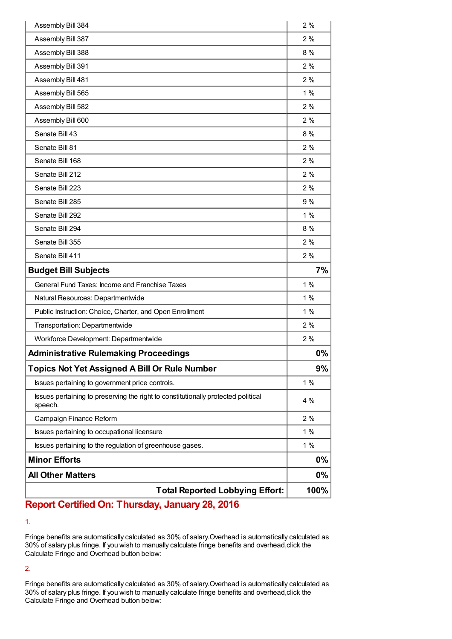| <b>Total Reported Lobbying Effort:</b>                                                       | 100%     |  |
|----------------------------------------------------------------------------------------------|----------|--|
| <b>All Other Matters</b>                                                                     | 0%       |  |
| <b>Minor Efforts</b>                                                                         |          |  |
| Issues pertaining to the regulation of greenhouse gases.                                     | 1%<br>0% |  |
| Issues pertaining to occupational licensure                                                  | 1%       |  |
| Campaign Finance Reform                                                                      | 2%       |  |
| Issues pertaining to preserving the right to constitutionally protected political<br>speech. | 4 %      |  |
| Issues pertaining to government price controls.                                              | 1%       |  |
| <b>Topics Not Yet Assigned A Bill Or Rule Number</b>                                         | 9%       |  |
| <b>Administrative Rulemaking Proceedings</b>                                                 | 0%       |  |
| Workforce Development: Departmentwide                                                        | 2%       |  |
| Transportation: Departmentwide                                                               | 2%       |  |
| Public Instruction: Choice, Charter, and Open Enrollment                                     | $1\%$    |  |
| Natural Resources: Departmentwide                                                            | 1%       |  |
| General Fund Taxes: Income and Franchise Taxes                                               | 1%       |  |
| <b>Budget Bill Subjects</b>                                                                  | 7%       |  |
| Senate Bill 411                                                                              | 2%       |  |
| Senate Bill 355                                                                              | 2%       |  |
| Senate Bill 294                                                                              | 8%       |  |
| Senate Bill 292                                                                              | 1%       |  |
| Senate Bill 285                                                                              | 9%       |  |
| Senate Bill 223                                                                              | 2%       |  |
| Senate Bill 212                                                                              | 2%       |  |
| Senate Bill 168                                                                              | 2%       |  |
| Senate Bill 81                                                                               | 2%       |  |
| Senate Bill 43                                                                               | 8%       |  |
| Assembly Bill 600                                                                            | 2%       |  |
| Assembly Bill 582                                                                            | 2%       |  |
| Assembly Bill 565                                                                            | 1%       |  |
| Assembly Bill 481                                                                            | 2%       |  |
| Assembly Bill 391                                                                            | 2%       |  |
| Assembly Bill 388                                                                            | 8%       |  |
| Assembly Bill 387                                                                            | 2%       |  |
| Assembly Bill 384                                                                            | 2%       |  |

### **Report Certified On: Thursday, January 28, 2016**

1.

Fringe benefits are automatically calculated as 30% of salary.Overhead is automatically calculated as 30% of salary plus fringe. If you wish to manually calculate fringe benefits and overhead,click the Calculate Fringe and Overhead button below:

2.

Fringe benefits are automatically calculated as 30% of salary.Overhead is automatically calculated as 30% of salary plus fringe. If you wish to manually calculate fringe benefits and overhead,click the Calculate Fringe and Overhead button below: